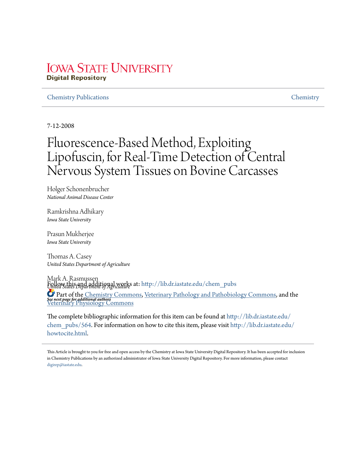### **IOWA STATE UNIVERSITY Digital Repository**

### Chemistry Publications Chemistry

7-12-2008

# Fluorescence-Based Method, Exploiting Lipofuscin, for Real-Time Detection of Central Nervous System Tissues on Bovine Carcasses

Holger Schonenbrucher *National Animal Disease Center*

Ramkrishna Adhikary *Iowa State University*

Prasun Mukherjee *Iowa State University*

Thomas A. Casey *United States Department of Agriculture*

Mark A. Rasmussen *United States Department of Agriculture* Follow this and additional works at: http://lib.dr.iastate.edu/chem\_pubs *See next page for additional authors* Part of the Chemistry Commons, Veterinary Pathology and Pathobiology Commons, and the Veterinary Physiology Commons

The complete bibliographic information for this item can be found at http://lib.dr.iastate.edu/ chem\_pubs/564. For information on how to cite this item, please visit http://lib.dr.iastate.edu/ howtocite.html.

This Article is brought to you for free and open access by the Chemistry at Iowa State University Digital Repository. It has been accepted for inclusion in Chemistry Publications by an authorized administrator of Iowa State University Digital Repository. For more information, please contact digirep@iastate.edu.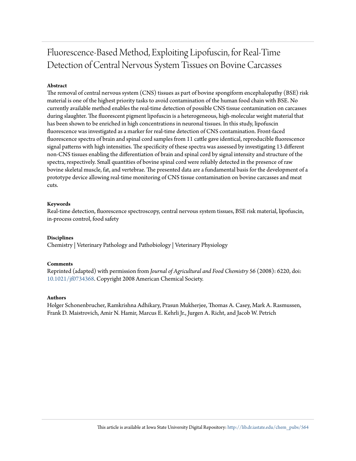## Fluorescence-Based Method, Exploiting Lipofuscin, for Real-Time Detection of Central Nervous System Tissues on Bovine Carcasses

### **Abstract**

The removal of central nervous system (CNS) tissues as part of bovine spongiform encephalopathy (BSE) risk material is one of the highest priority tasks to avoid contamination of the human food chain with BSE. No currently available method enables the real-time detection of possible CNS tissue contamination on carcasses during slaughter. The fluorescent pigment lipofuscin is a heterogeneous, high-molecular weight material that has been shown to be enriched in high concentrations in neuronal tissues. In this study, lipofuscin fluorescence was investigated as a marker for real-time detection of CNS contamination. Front-faced fluorescence spectra of brain and spinal cord samples from 11 cattle gave identical, reproducible fluorescence signal patterns with high intensities. The specificity of these spectra was assessed by investigating 13 different non-CNS tissues enabling the differentiation of brain and spinal cord by signal intensity and structure of the spectra, respectively. Small quantities of bovine spinal cord were reliably detected in the presence of raw bovine skeletal muscle, fat, and vertebrae. The presented data are a fundamental basis for the development of a prototype device allowing real-time monitoring of CNS tissue contamination on bovine carcasses and meat cuts.

### **Keywords**

Real-time detection, fluorescence spectroscopy, central nervous system tissues, BSE risk material, lipofuscin, in-process control, food safety

### **Disciplines**

Chemistry | Veterinary Pathology and Pathobiology | Veterinary Physiology

### **Comments**

Reprinted (adapted) with permission from *Journal of Agricultural and Food Chemistry* 56 (2008): 6220, doi: 10.1021/jf0734368. Copyright 2008 American Chemical Society.

### **Authors**

Holger Schonenbrucher, Ramkrishna Adhikary, Prasun Mukherjee, Thomas A. Casey, Mark A. Rasmussen, Frank D. Maistrovich, Amir N. Hamir, Marcus E. Kehrli Jr., Jurgen A. Richt, and Jacob W. Petrich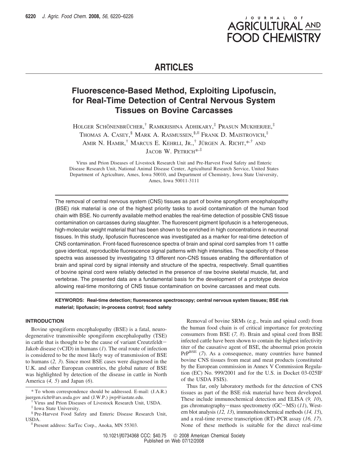### JOURNAL OF **AGRICULTURAL AND FOOD CHEMISTRY**

### **ARTICLES**

### **Fluorescence-Based Method, Exploiting Lipofuscin, for Real-Time Detection of Central Nervous System Tissues on Bovine Carcasses**

Holger Schönenbrücher, † Ramkrishna Adhikary, ‡ Prasun Mukherjee, ‡ Thomas A. Casey, <sup>§</sup> Mark A. Rasmussen, <sup>\$,11</sup> Frank D. Maistrovich,<sup>#</sup> Amir N. Hamir,<sup>†</sup> Marcus E. Kehrli, Jr.,<sup>†</sup> Jürgen A. Richt,\*<sup>,†</sup> and JACOB W. PETRICH\*\*\*

Virus and Prion Diseases of Livestock Research Unit and Pre-Harvest Food Safety and Enteric Disease Research Unit, National Animal Disease Center, Agricultural Research Service, United States Department of Agriculture, Ames, Iowa 50010, and Department of Chemistry, Iowa State University, Ames, Iowa 50011-3111

The removal of central nervous system (CNS) tissues as part of bovine spongiform encephalopathy (BSE) risk material is one of the highest priority tasks to avoid contamination of the human food chain with BSE. No currently available method enables the real-time detection of possible CNS tissue contamination on carcasses during slaughter. The fluorescent pigment lipofuscin is a heterogeneous, high-molecular weight material that has been shown to be enriched in high concentrations in neuronal tissues. In this study, lipofuscin fluorescence was investigated as a marker for real-time detection of CNS contamination. Front-faced fluorescence spectra of brain and spinal cord samples from 11 cattle gave identical, reproducible fluorescence signal patterns with high intensities. The specificity of these spectra was assessed by investigating 13 different non-CNS tissues enabling the differentiation of brain and spinal cord by signal intensity and structure of the spectra, respectively. Small quantities of bovine spinal cord were reliably detected in the presence of raw bovine skeletal muscle, fat, and vertebrae. The presented data are a fundamental basis for the development of a prototype device allowing real-time monitoring of CNS tissue contamination on bovine carcasses and meat cuts.

### **KEYWORDS: Real-time detection; fluorescence spectroscopy; central nervous system tissues; BSE risk material; lipofuscin; in-process control; food safety**

### **INTRODUCTION**

Bovine spongiform encephalopathy (BSE) is a fatal, neurodegenerative transmissible spongiform encephalopathy (TSE) in cattle that is thought to be the cause of variant Creutzfeldt-Jakob disease (vCJD) in humans (*1*). The oral route of infection is considered to be the most likely way of transmission of BSE to humans (*2, 3*). Since most BSE cases were diagnosed in the U.K. and other European countries, the global nature of BSE was highlighted by detection of the disease in cattle in North America (*4, 5*) and Japan (*6*).

Removal of bovine SRMs (e.g., brain and spinal cord) from the human food chain is of critical importance for protecting consumers from BSE (*7, 8*). Brain and spinal cord from BSE infected cattle have been shown to contain the highest infectivity titer of the causative agent of BSE, the abnormal prion protein PrP<sup>BSE</sup> (7). As a consequence, many countries have banned bovine CNS tissues from meat and meat products (constituted by the European commission in Annex V Commission Regulation (EC) No. 999/2001 and for the U.S. in Docket 03-025IF of the USDA FSIS).

Thus far, only laboratory methods for the detection of CNS tissues as part of the BSE risk material have been developed. These include immunochemical detection and ELISA (*9, 10*), gas chromatography-mass spectrometry (GC-MS) (*11*), Western blot analysis (*12, 13*), immunohistochemical methods (*14, 15*), and a real-time reverse transcription (RT)-PCR assay (*16, 17*). None of these methods is suitable for the direct real-time

<sup>\*</sup> To whom correspondence should be addressed. E-mail: (J.A.R.) juergen.richt@ars.usda.gov and (J.W.P.) jwp@iastate.edu.

<sup>†</sup> Virus and Prion Diseases of Livestock Research Unit, USDA. ‡ Iowa State University.

<sup>§</sup> Pre-Harvest Food Safety and Enteric Disease Research Unit, USDA.

Present address: SarTec Corp., Anoka, MN 55303.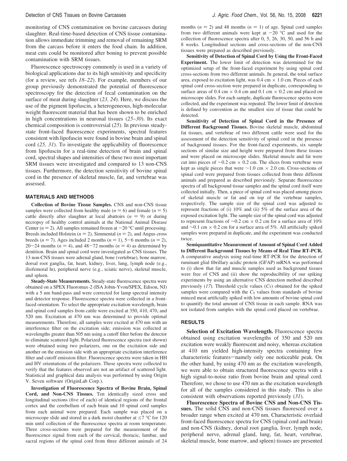monitoring of CNS contamination on bovine carcasses during slaughter. Real-time-based detection of CNS tissue contamination allows immediate trimming and removal of remaining SRM from the carcass before it enters the food chain. In addition, meat cuts could be monitored after boning to prevent possible contamination with SRM tissues.

Fluorescence spectroscopy commonly is used in a variety of biological applications due to its high sensitivity and specificity (for a review, see refs *18–22*). For example, members of our group previously demonstrated the potential of fluorescence spectroscopy for the detection of fecal contamination on the surface of meat during slaughter (*23, 24*). Here, we discuss the use of the pigment lipofuscin, a heterogeneous, high-molecular weight fluorescent material that has been shown to be enriched in high concentrations in neuronal tissues (*25–30*). Its exact chemical composition is controversial (*25*). In previous steadystate front-faced fluorescence experiments, spectral features consistent with lipofuscin were found in bovine brain and spinal cord (*25, 31*). To investigate the applicability of fluorescence from lipofuscin for a real-time detection of brain and spinal cord, spectral shapes and intensities of these two most important SRM tissues were investigated and compared to 13 non-CNS tissues. Furthermore, the detection sensitivity of bovine spinal cord in the presence of skeletal muscle, fat, and vertebrae was assessed.

#### **MATERIALS AND METHODS**

**Collection of Bovine Tissue Samples.** CNS and non-CNS tissue samples were collected from healthy male ( $n = 6$ ) and female ( $n = 5$ ) cattle directly after slaughter at local abattoirs  $(n = 9)$  or during necropsy of healthy control animals at the National Animal Disease Center ( $n = 2$ ). All samples remained frozen at  $-20$  °C until processing. Breeds included Holstein ( $n = 2$ ), Simmental ( $n = 2$ ), and Angus cross breeds ( $n = 7$ ). Ages included 2 months ( $n = 1$ ), 5-6 months ( $n = 2$ ), 20-24 months ( $n = 4$ ), and 48-72 months ( $n = 4$ ) as determined by dentition. Brain and spinal cord were investigated as CNS tissues. The 13 non-CNS tissues were adrenal gland, bone (vertebrae), bone marrow, dorsal root ganglia, fat, heart, kidney, liver, lung, lymph node (e.g., iliofemoral ln), peripheral nerve (e.g., sciatic nerve), skeletal muscle, and spleen.

**Steady-State Measurements.** Steady-state fluorescence spectra were obtained on a SPEX Fluoromax-2 (ISA Jobin-Yvon/SPEX, Edison, NJ) with a 5 nm band-pass and were corrected for lamp spectral intensity and detector response. Fluorescence spectra were collected in a frontfaced orientation. To select the appropriate excitation wavelength, brain and spinal cord samples from cattle were excited at 350, 410, 470, and 520 nm. Excitation at 470 nm was determined to provide optimal measurements. Therefore, all samples were excited at 470 nm with an interference filter on the excitation side; emission was collected at wavelengths greater than 505 nm using a cutoff filter before the detector to eliminate scattered light. Polarized fluorescence spectra (not shown) were obtained using two polarizers, one on the excitation side and another on the emission side with an appropriate excitation interference filter and cutoff emission filter. Fluorescence spectra were taken in HH and HV orientations of the polarizers. These spectra were collected to verify that the features observed are not an artifact of scattered light. Statistical and graphical data analysis was performed by using Origin V. Seven software (OriginLab Corp.).

**Investigation of Fluorescence Spectra of Bovine Brain, Spinal Cord, and Non-CNS Tissues.** Ten identically sized cross and longitudinal sections (five of each) of identical regions of the frontal cortex and the cerebellum of each brain and 10 spinal cord samples from each animal were prepared. Each sample was placed on a microscope slide and stored in a dark moist chamber at  $\leq$  7 °C for 120 min until collection of the fluorescence spectra at room temperature. Three cross-sections were prepared for the measurement of the fluorescence signal from each of the cervical, thoracic, lumbar, and sacral regions of the spinal cord from three different animals of 24 months  $(n = 2)$  and 48 months  $(n = 1)$  of age. Spinal cord samples from two different animals were kept at  $-20$  °C and used for the collection of fluorescence spectra after 0, 5, 26, 30, 50, and 56 h and 8 weeks. Longitudinal sections and cross-sections of the non-CNS tissues were prepared as described previously.

**Sensitivity of Detection of Spinal Cord by Using the Front-Faced Experiment.** The lower limit of detection was determined for the optimized setup of the front-faced experiment by using spinal cord cross-sections from two different animals. In general, the total surface area, exposed to excitation light, was  $0.4 \text{ cm} \times 1.0 \text{ cm}$ . Pieces of each spinal cord cross-section were prepared in duplicate, corresponding to surface areas of 0.4 cm  $\times$  0.4 cm and 0.1 cm  $\times$  0.2 cm and placed on microscope slides. For each sample, duplicate fluorescence spectra were collected, and the experiment was repeated. The lower limit of detection is defined by convention as the smallest size of tissue that could be detected.

**Sensitivity of Detection of Spinal Cord in the Presence of Different Background Tissues.** Bovine skeletal muscle, abdominal fat tissues, and vertebrae of two different cattle were used for the assessment of the detection sensitivity of spinal cord in the presence of background tissues. For the front-faced experiments, six sample sections of similar size and height were prepared from these tissues and were placed on microscope slides. Skeletal muscle and fat were cut into pieces of ∼0.2 cm × 0.2 cm. The slices from vertebrae were kept as single pieces that were ∼1.0 cm × 2.0 cm. Cross-sections of spinal cord were prepared from tissues collected from three different animals and prepared as described previously. Separate fluorescence spectra of all background tissue samples and the spinal cord itself were collected initially. Then, a piece of spinal cord was placed among pieces of skeletal muscle or fat and on top of the vertebrae samples, respectively. The sample size of the spinal cord was adjusted to represent fractions of (i) 10% and (ii) 5% of the surface area of the exposed excitation light. The sample size of the spinal cord was adjusted to represent fractions of  $\sim$ 0.2 cm  $\times$  0.2 cm for a surface area of 10% and ∼0.1 cm × 0.2 cm for a surface area of 5%. All artificially spiked samples were prepared in duplicate, and the experiment was conducted twice.

**Semiquantitative Measurement of Amount of Spinal Cord Added to Different Background Tissues by Means of Real Time RT-PCR.** A comparative analysis using real-time RT-PCR for the detection of ruminant glial fibrillary acidic protein (GFAP) mRNA was performed to (i) show that fat and muscle samples used as background tissues were free of CNS and (ii) show the reproducibility of our spiking experiments by using an alternative CNS detection method described previously  $(17)$ . Threshold cycle values  $(C_T)$  obtained for the spiked samples were compared with the  $C<sub>T</sub>$  values from standards of bovine minced meat artificially spiked with low amounts of bovine spinal cord to quantify the total amount of CNS tissue in each sample. RNA was not isolated from samples with the spinal cord placed on vertebrae.

### **RESULTS**

**Selection of Excitation Wavelength.** Fluorescence spectra obtained using excitation wavelengths of 350 and 520 nm excitation were weakly fluorescent and noisy, whereas excitation at 410 nm yielded high-intensity spectra containing few characteristic features-namely only one noticeable peak. On the other hand, by using 470 nm as the excitation wavelength, we were able to obtain structured fluorescence spectra with a high signal-to-noise ratio from bovine brain and spinal cord. Therefore, we chose to use 470 nm as the excitation wavelength for all of the samples considered in this study. This is also consistent with observations reported previously (*31*).

**Fluorescence Spectra of Bovine CNS and Non-CNS Tissues.** The solid CNS and non-CNS tissues fluoresced over a broader range when excited at 470 nm. Characteristic overlaid front-faced fluorescence spectra for CNS (spinal cord and brain) and non-CNS (kidney, dorsal root ganglia, liver, lymph node, peripheral nerve, adrenal gland, lung, fat, heart, vertebrae, skeletal muscle, bone marrow, and spleen) tissues are presented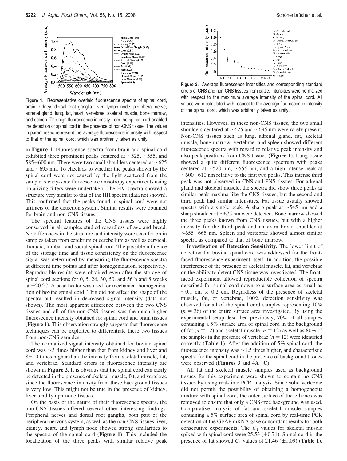

**Figure 1.** Representative overlaid fluorescence spectra of spinal cord, brain, kidney, dorsal root ganglia, liver, lymph node, peripheral nerve, adrenal gland, lung, fat, heart, vertebrae, skeletal muscle, bone marrow, and spleen. The high fluorescence intensity from the spinal cord enabled the detection of spinal cord in the presence of non-CNS tissue. The values in parentheses represent the average fluorescence intensity with respect to that of the spinal cord, which was arbitrarily taken as unity.

in **Figure 1**. Fluorescence spectra from brain and spinal cord exhibited three prominent peaks centered at ∼525, ∼555, and 585-600 nm. There were two small shoulders centered at ∼625 and ∼695 nm. To check as to whether the peaks shown by the spinal cord were not caused by the light scattered from the sample, steady-state fluorescence anisotropy experiments using polarizing filters were undertaken. The HV spectra showed a structure very similar to that of the HH spectra (data not shown). This confirmed that the peaks found in spinal cord were not artifacts of the detection system. Similar results were obtained for brain and non-CNS tissues.

The spectral features of the CNS tissues were highly conserved in all samples studied regardless of age and breed. No differences in the structure and intensity were seen for brain samples taken from cerebrum or cerebellum as well as cervical, thoracic, lumbar, and sacral spinal cord. The possible influence of the storage time and tissue consistency on the fluorescence signal was determined by measuring the fluorescence spectra at different time points and after homogenization, respectively. Reproducible results were obtained even after the storage of spinal cord sections for 0, 5, 26, 30, 50, and 56 h and 8 weeks at  $-20$  °C. A bead beater was used for mechanical homogenization of bovine spinal cord. This did not affect the shape of the spectra but resulted in decreased signal intensity (data not shown). The most apparent difference between the two CNS tissues and all of the non-CNS tissues was the much higher fluorescence intensity obtained for spinal cord and brain tissues (**Figure 1**). This observation strongly suggests that fluorescence techniques can be exploited to differentiate these two tissues from non-CNS samples.

The normalized signal intensity obtained for bovine spinal cord was ∼3 times higher than that from kidney and liver and 8-10 times higher than the intensity from skeletal muscle, fat, and vertebrae. Standard errors in fluorescence intensity are shown in **Figure 2**. It is obvious that the spinal cord can easily be detected in the presence of skeletal muscle, fat, and vertebrae since the fluorescence intensity from these background tissues is very low. This might not be true in the presence of kidney, liver, and lymph node tissues.

On the basis of the nature of their fluorescence spectra, the non-CNS tissues offered several other interesting findings. Peripheral nerves and dorsal root ganglia, both part of the peripheral nervous system, as well as the non-CNS tissues liver, kidney, heart, and lymph node showed strong similarities to the spectra of the spinal cord (**Figure 1**). This included the localization of the three peaks with similar relative peak



**Figure 2.** Average fluorescence intensities and corresponding standard errors of CNS and non-CNS tissues from cattle. Intensities were normalized with respect to the maximum average intensity of the spinal cord. All values were calculated with respect to the average fluorescence intensity of the spinal cord, which was arbitrarily taken as unity.

intensities. However, in these non-CNS tissues, the two small shoulders centered at ∼625 and ∼695 nm were rarely present. Non-CNS tissues such as lung, adrenal gland, fat, skeletal muscle, bone marrow, vertebrae, and spleen showed different fluorescence spectra with regard to relative peak intensity and also peak positions from CNS tissues (**Figure 1**). Lung tissue showed a quite different fluorescence spectrum with peaks centered at ∼520 nm, ∼555 nm, and a high intense peak at  $~\sim$ 600 $-610$  nm relative to the first two peaks. This intense third peak was not observed in CNS and PNS tissues. For adrenal gland and skeletal muscle, the spectra did show three peaks at similar peak maxima like the CNS tissues, but the second and third peak had similar intensities. Fat tissue usually showed spectra with a single peak. A sharp peak at ∼545 nm and a sharp shoulder at ∼675 nm were detected. Bone marrow showed the three peaks known from CNS tissues, but with a higher intensity for the third peak and an extra broad shoulder at ∼655-665 nm. Spleen and vertebrae showed almost similar spectra as compared to that of bone marrow.

**Investigation of Detection Sensitivity.** The lower limit of detection for bovine spinal cord was addressed for the frontfaced fluorescence experiment itself. In addition, the possible interference of the presence of skeletal muscle, fat, and vertebrae on the ability to detect CNS tissue was investigated. The frontfaced experiment allowed reproducible collection of spectra described for spinal cord down to a surface area as small as ∼0.1 cm × 0.2 cm. Regardless of the presence of skeletal muscle, fat, or vertebrae, 100% detection sensitivity was observed for all of the spinal cord samples representing 10%  $(n = 36)$  of the entire surface area investigated. By using the experimental setup described previously, 70% of all samples containing a 5% surface area of spinal cord in the background of fat  $(n = 12)$  and skeletal muscle  $(n = 12)$  as well as 80% of the samples in the presence of vertebrae  $(n = 12)$  were identified correctly (**Table 1**). After the addition of 5% spinal cord, the fluorescence intensity was ∼1.5 times higher, and characteristic spectra for the spinal cord in the presence of background tissues were observed (**Figures 3** and **4A**-**C**).

All fat and skeletal muscle samples used as background tissues for this experiment were shown to contain no CNS tissues by using real-time PCR analysis. Since solid vertebrae did not permit the possibility of obtaining a homogeneous mixture with spinal cord, the outer surface of these bones was removed to ensure that only a CNS-free background was used. Comparative analysis of fat and skeletal muscle samples containing a 5% surface area of spinal cord by real-time PCR detection of the GFAP mRNA gave concordant results for both consecutive experiments. The  $C_T$  values for skeletal muscle spiked with spinal cord were  $25.53 \ (\pm 0.71)$ . Spinal cord in the presence of fat showed  $C_T$  values of 21.46 ( $\pm$ 1.09) (**Table 1**).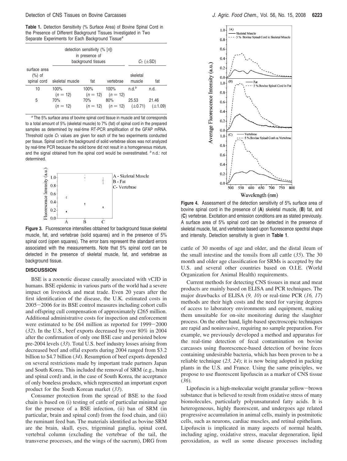**Table 1.** Detection Sensitivity (% Surface Area) of Bovine Spinal Cord in the Presence of Different Background Tissues Investigated in Two Separate Experiments for Each Background Tissue<sup>a</sup>

|                                       | detection sensitivity $(\%$ [n])<br>in presence of<br>background tissues |                                 |                                 | $C_T$ ( $\pm$ SD)     |                       |
|---------------------------------------|--------------------------------------------------------------------------|---------------------------------|---------------------------------|-----------------------|-----------------------|
| surface area<br>(%) of<br>spinal cord | skeletal muscle                                                          | fat                             | vertebrae                       | skeletal<br>muscle    | fat                   |
| 10                                    | 100%                                                                     | 100%                            | 100%                            | $n.d.^b$              | n.d.                  |
| 5                                     | $(n = 12)$<br>70%<br>$(n = 12)$                                          | $(n = 12)$<br>70%<br>$(n = 12)$ | $(n = 12)$<br>80%<br>$(n = 12)$ | 25.53<br>$(\pm 0.71)$ | 21.46<br>$(\pm 1.09)$ |

<sup>a</sup> The 5% surface area of bovine spinal cord tissue in muscle and fat corresponds to a total amount of 5% (skeletal muscle) to 7% (fat) of spinal cord in the prepared samples as determined by real-time RT-PCR amplification of the GFAP mRNA. Threshold cycle  $C_T$  values are given for each of the two experiments conducted per tissue. Spinal cord in the background of solid vertebrae slices was not analyzed by real-time PCR because the solid bone did not result in a homogeneous mixture, and the signal obtained from the spinal cord would be overestimated.  $<sup>b</sup>$  n.d.: not</sup> determined.



**Figure 3.** Fluorescence intensities obtained for background tissue skeletal muscle, fat, and vertebrae (solid squares) and in the presence of 5% spinal cord (open squares). The error bars represent the standard errors associated with the measurements. Note that 5% spinal cord can be detected in the presence of skeletal muscle, fat, and vertebrae as background tissue.

#### **DISCUSSION**

BSE is a zoonotic disease causally associated with vCJD in humans. BSE epidemic in various parts of the world had a severe impact on livestock and meat trade. Even 20 years after the first identification of the disease, the U.K. estimated costs in 2005-2006 for its BSE control measures including cohort culls and offspring cull compensation of approximately £265 million. Additional administrative costs for inspection and enforcement were estimated to be £64 million as reported for 1999-2000 (*32*). In the U.S., beef exports decreased by over 80% in 2004 after the confirmation of only one BSE case and persisted below pre-2004 levels (*33*). Total U.S. beef industry losses arising from decreased beef and offal exports during 2004 ranged from \$3.2 billion to \$4.7 billion (*34*). Resumption of beef exports depended on several restrictions made by important trade partners Japan and South Korea. This included the removal of SRM (e.g., brain and spinal cord) and, in the case of South Korea, the acceptance of only boneless products, which represented an important export product for the South Korean market (*33*).

Consumer protection from the spread of BSE to the food chain is based on (i) testing of cattle of particular minimal age for the presence of a BSE infection, (ii) ban of SRM (in particular, brain and spinal cord) from the food chain, and (iii) the ruminant feed ban. The materials identified as bovine SRM are the brain, skull, eyes, trigeminal ganglia, spinal cord, vertebral column (excluding the vertebrae of the tail, the transverse processes, and the wings of the sacrum), DRG from



**Figure 4.** Assessment of the detection sensitivity of 5% surface area of bovine spinal cord in the presence of (**A**) skeletal muscle, (**B**) fat, and (**C**) vertebrae. Excitation and emission conditions are as stated previously. A surface area of 5% spinal cord can be detected in the presence of skeletal muscle, fat, and vertebrae based upon fluorescence spectral shape and intensity. Detection sensitivity is given in **Table 1**.

cattle of 30 months of age and older, and the distal ileum of the small intestine and the tonsils from all cattle (*35*). The 30 month and older age classification for SRMs is accepted by the U.S. and several other countries based on O.I.E. (World Organization for Animal Health) requirements.

Current methods for detecting CNS tissues in meat and meat products are mainly based on ELISA and PCR techniques. The major drawbacks of ELISA (*9, 10*) or real-time PCR (*16, 17*) methods are their high costs and the need for varying degrees of access to laboratory environments and equipment, making them unsuitable for on-site monitoring during the slaughter process. On the other hand, light-based spectroscopic techniques are rapid and noninvasive, requiring no sample preparation. For example, we previously developed a method and apparatus for the real-time detection of fecal contamination on bovine carcasses using fluorescence-based detection of bovine feces containing undesirable bacteria, which has been proven to be a reliable technique (*23, 24*); it is now being adopted in packing plants in the U.S. and France. Using the same principles, we propose to use fluorescent lipofuscin as a marker of CNS tissue (*36*).

Lipofuscin is a high-molecular weight granular yellow-brown substance that is believed to result from oxidative stress of many biomolecules, particularly polyunsaturated fatty acids. It is heterogeneous, highly fluorescent, and undergoes age related progressive accumulation in animal cells, mainly in postmitotic cells, such as neurons, cardiac muscles, and retinal epithelium. Lipofuscin is implicated in many aspects of normal health, including aging, oxidative stress, macular degeneration, lipid peroxidation, as well as some disease processes including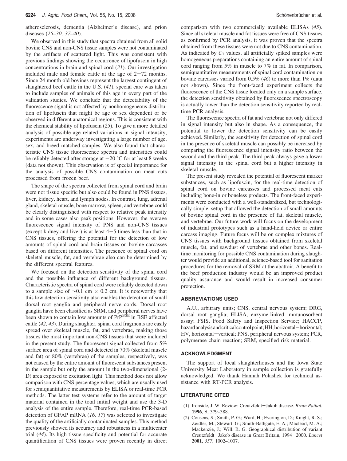atherosclerosis, dementia (Alzheimer's disease), and prion diseases (*25–30, 37–40*).

We observed in this study that spectra obtained from all solid bovine CNS and non-CNS tissue samples were not contaminated by the artifacts of scattered light. This was consistent with previous findings showing the occurrence of lipofuscin in high concentrations in brain and spinal cord (*31*). Our investigation included male and female cattle at the age of  $2-72$  months. Since 24 month old bovines represent the largest contingent of slaughtered beef cattle in the U.S. (*41*), special care was taken to include samples of animals of this age in every part of the validation studies. We conclude that the detectability of the fluorescence signal is not affected by nonhomogeneous distribution of lipofuscin that might be age or sex dependent or be observed in different anatomical regions. This is consistent with the chemical stability of lipofuscin (*25*). To give a more detailed analysis of possible age related variations in signal intensity, experiments are underway investigating a large number of age, sex, and breed matched samples. We also found that characteristic CNS tissue fluorescence spectra and intensities could be reliably detected after storage at  $-20$  °C for at least 8 weeks (data not shown). This observation is of special importance for the analysis of possible CNS contamination on meat cuts processed from frozen beef.

The shape of the spectra collected from spinal cord and brain were not tissue specific but also could be found in PNS tissues, liver, kidney, heart, and lymph nodes. In contrast, lung, adrenal gland, skeletal muscle, bone marrow, spleen, and vertebrae could be clearly distinguished with respect to relative peak intensity and in some cases also peak positions. However, the average fluorescence signal intensity of PNS and non-CNS tissues (except kidney and liver) is at least  $4-5$  times less than that in CNS tissues, offering the potential for the detection of low amounts of spinal cord and brain tissues on bovine carcasses based on different intensities. The presence of spinal cord on skeletal muscle, fat, and vertebrae also can be determined by the different spectral features.

We focused on the detection sensitivity of the spinal cord and the possible influence of different background tissues. Characteristic spectra of spinal cord were reliably detected down to a sample size of ∼0.1 cm × 0.2 cm. It is noteworthy that this low detection sensitivity also enables the detection of small dorsal root ganglia and peripheral nerve cords. Dorsal root ganglia have been classified as SRM, and peripheral nerves have been shown to contain low amounts of PrPBSE in BSE affected cattle (*42, 43*). During slaughter, spinal cord fragments are easily spread over skeletal muscle, fat, and vertebrae, making those tissues the most important non-CNS tissues that were included in the present study. The fluorescent signal collected from 5% surface area of spinal cord and detected in 70% (skeletal muscle and fat) or 80% (vertebrae) of the samples, respectively, was not caused by the entire amount of fluorescent substances present in the sample but only the amount in the two-dimensional (2- D) area exposed to excitation light. This method does not allow comparison with CNS percentage values, which are usually used for semiquantitative measurements by ELISA or real-time PCR methods. The latter test systems refer to the amount of target material contained in the total initial weight and use the 3-D analysis of the entire sample. Therefore, real-time PCR-based detection of GFAP mRNA (*16, 17*) was selected to investigate the quality of the artificially contaminated samples. This method previously showed its accuracy and robustness in a multicenter trial (*44*). Its high tissue specificity and potential for accurate quantification of CNS tissues were proven recently in direct comparison with two commercially available ELISAs (*45*). Since all skeletal muscle and fat tissues were free of CNS tissues as confirmed by PCR analysis, it was proven that the spectra obtained from these tissues were not due to CNS contamination. As indicated by  $C_T$  values, all artificially spiked samples were homogeneous preparations containing an entire amount of spinal cord ranging from 5% in muscle to 7% in fat. In comparison, semiquantitative measurements of spinal cord contamination on bovine carcasses varied from 0.5% (*46*) to more than 1% (data not shown). Since the front-faced experiment collects the fluorescence of the CNS tissue located only on a sample surface, the detection sensitivity obtained by fluorescence spectroscopy is actually lower than the detection sensitivity reported by realtime PCR analysis.

The fluorescence spectra of fat and vertebrae not only differed in signal intensity but also in shape. As a consequence, the potential to lower the detection sensitivity can be easily achieved. Similarly, the sensitivity for detection of spinal cord in the presence of skeletal muscle can possibly be increased by comparing the fluorescence signal intensity ratio between the second and the third peak. The third peak always gave a lower signal intensity in the spinal cord but a higher intensity in skeletal muscle.

The present study revealed the potential of fluorescent marker substances, such as lipofuscin, for the real-time detection of spinal cord on bovine carcasses and processed meat cuts including bone-in or boneless products. The front-faced experiments were conducted with a well-standardized, but technologically simple, setup that allowed the detection of small amounts of bovine spinal cord in the presence of fat, skeletal muscle, and vertebrae. Our future work will focus on the development of industrial prototypes such as a hand-held device or entire carcass imaging. Future focus will be on complex mixtures of CNS tissues with background tissues obtained from skeletal muscle, fat, and sawdust of vertebrae and other bones. Realtime monitoring for possible CNS contamination during slaughter would provide an additional, science-based tool for sanitation procedures for the removal of SRM at the abattoir. A benefit to the beef production industry would be an improved product quality assurance and would result in increased consumer protection.

### **ABBREVIATIONS USED**

A.U., arbitrary units; CNS, central nervous system; DRG, dorsal root ganglia; ELISA, enzyme-linked immunosorbent assay; FSIS, Food Safety and Inspection Service; HACCP, hazard analysis and critical control point; HH, horizontal-horizontal; HV, horizontal-vertical; PNS, peripheral nervous system; PCR, polymerase chain reaction; SRM, specified risk material.

#### **ACKNOWLEDGMENT**

The support of local slaughterhouses and the Iowa State University Meat Laboratory in sample collection is gratefully acknowledged. We thank Hannah Polashek for technical assistance with RT-PCR analysis.

### **LITERATURE CITED**

- (1) Ironside, J. W. Review: Creutzfeldt-Jakob disease. *Brain Pathol.* **1996**, *6*, 379–388.
- (2) Cousens, S.; Smith, P. G.; Ward, H.; Everington, D.; Knight, R. S.; Zeidler, M.; Stewart, G.; Smith-Bathgate, E. A.; Macleod, M. A.; Mackenzie, J.; Will, R. G. Geographical distribution of variant Creutzfeldt-Jakob disease in Great Britain, 1994-2000. *Lancet* **2001**, *357*, 1002–1007.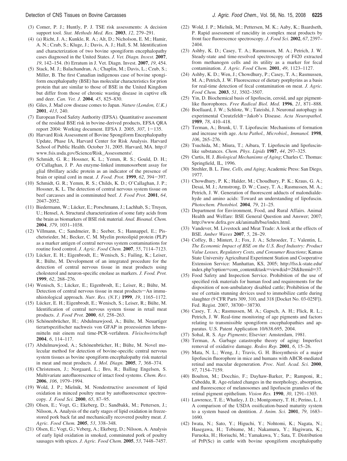- (3) Comer, P. J.; Huntly, P. J. TSE risk assessments: A decision support tool. *Stat. Methods Med. Res.* **2003**, *12*, 279–291.
- (4) (a) Richt, J. A.; Kunkle, R. A.; Alt, D.; Nicholson, E. M.; Hamir, A. N.; Czub, S.; Kluge, J.; Davis, A. J.; Hall, S. M. Identification and characterization of two bovine spongiform encephalopathy cases diagnosed in the United States. *J. Vet. Diagn. Invest.* 2007, *19*, 142–154. (b) Erratum in J. Vet. Diagn. Invest. **2007**, *19*, 454.
- (5) Stack, M. J.; Balachandran, A.; Chaplin, M.; Davis, L.; Czub, S.; Miller, B. The first Canadian indigenous case of bovine spongiform encephalopathy (BSE) has molecular characteristics for prion protein that are similar to those of BSE in the United Kingdom but differ from those of chronic wasting disease in captive elk and deer. *Can. Vet. J.* **2004**, *45*, 825–830.
- (6) Giles, J. Mad cow disease comes to Japan. *Nature (London, U.K.)* **2001**, *413*, 240.
- (7) European Food Safety Authority (EFSA). Quantitative assessment of the residual BSE risk in bovine-derived products, EFSA QRA report 2004: Working document. EFSA J. 2005, *307*, 1-135.
- (8) Harvard Risk Assessment of Bovine Spongiform Encephalopathy Update, Phase IA, Harvard Center for Risk Analysis. Harvard School of Public Health. October 31, 2005. Harvard, MA. http:// www.fsis.usda.gov/Science/Risk\_Assessments/.
- (9) Schmidt, G. R.; Hossner, K. L.; Yemm, R. S.; Gould, D. H.; O'Callaghan, J. P. An enzyme-linked immunosorbent assay for glial fibrillary acidic protein as an indicator of the presence of brain or spinal cord in meat. *J. Food. Prot.* **1999**, *62*, 394-397.
- (10) Schmidt, G. R.; Yemm, R. S.; Childs, K. D.; O'Callaghan, J. P.; Hossner, K. L. The detection of central nervous system tissue on beef carcasses and in comminuted beef. *J. Food Prot.* **2001**, *64*, 2047–2052.
- (11) Biedermann, W.; Lücker, E.; Porschmann, J.; Lachhab, S.; Truyen, U.; Hensel, A. Structural characterization of some fatty acids from the brain as biomarkers of BSE risk material. *Anal. Bioanal. Chem.* **2004**, *379*, 1031–1038.
- (12) Villmann, C.; Sandmeier, B.; Seeber, S.; Hannappel, E.; Pischetsrieder, M.; Becker, C. M. Myelin proteolipid protein (PLP) as a marker antigen of central nervous system contaminations for routine food control. *J. Agric. Food Chem.* **2007**, *55*, 7114–7123.
- (13) Lücker, E. H.; Eigenbrodt, E.; Wenisch, S.; Failing, K.; Leiser, R.; Bülte, M. Development of an integrated procedure for the detection of central nervous tissue in meat products using cholesterol and neuron-specific enolase as markers. *J. Food. Prot.* **1999**, *62*, 268–276.
- (14) Wenisch, S.; Lücker, E.; Eigenbrodt, E.; Leiser, R.; Bülte, M. Detection of central nervous tissue in meat products-An immunhistological approach. *Nutr. Res. (N.Y.)* **1999**, *19*, 1165–1172.
- (15) Lücker, E. H.; Eigenbrodt, E.; Wenisch, S.; Leiser, R.; Bülte, M. Identification of central nervous system tissue in retail meat products. *J. Food Prot.* **2000**, *63*, 258–263.
- (16) Schönenbrücher, H.; Abdulmawjood, A.; Bülte, M. Neuartiger tierartspezifischer nachweis von GFAP in prozessierten lebensmitteln mit einem real time-PCR-verfahren. *Fleischwirtschaft* **2004**, *6*, 114–117.
- (17) Abdulmawjood, A.; Schönenbrücher, H.; Bülte, M. Novel molecular method for detection of bovine-specific central nervous system tissues as bovine spongiform encephalopathy risk material in meat and meat products. *J. Mol. Diagn.* **2005**, *7*, 368–374.
- (18) Christensen, J.; Norgaard, L.; Bro, R.; Balling Engelsen, S. Multivariate autofluorescence of intact food systems. *Chem. Re*V*.* **2006**, *106*, 1979–1994.
- (19) Wold, J. P.; Mielnik, M. Nondestructive assessment of lipid oxidation in minced poultry meat by autofluorescence spectroscopy. *J. Food Sci.* **2000**, *65*, 87–95.
- (20) Olsen, E.; Vogt, G.; Ekeberg, D.; Sandbakk, M.; Pettersen, J.; Nilsson, A. Analysis of the early stages of lipid oxidation in freezestored pork back fat and mechanically recovered poultry meat. *J. Agric. Food Chem.* **2005**, *53*, 338–348.
- (21) Olsen, E.; Vogt, G.; Veberg, A.; Ekeberg, D.; Nilsson, A. Analysis of early lipid oxidation in smoked, comminuted pork of poultry sausages with spices. *J. Agric. Food Chem.* **2005**, *53*, 7448–7457.
- (22) Wold, J. P.; Mielnik, M.; Pettersen, M. K.; Aaby, K.; Baardseth, P. Rapid assessment of rancidity in complex meat products by front face fluorescence spectroscopy. *J. Food Sci.* **2002**, *67*, 2397– 2404.
- (23) Ashby, K. D.; Casey, T. A.; Rasmussen, M. A.; Petrich, J. W. Steady-state and time-resolved spectroscopy of F420 extracted from methanogen cells and its utility as a marker for fecal contamination. *J. Agric. Food Chem.* **2001**, *49*, 1123–1127.
- (24) Ashby, K. D.; Wen, J.; Chowdhury, P.; Casey, T. A.; Rasmussen, M. A.; Petrich, J. W. Fluorescence of dietary porphyrins as a basis for real-time detection of fecal contamination on meat. *J. Agric. Food Chem.* **2003**, *51*, 3502–3507.
- (25) Yin, D. Biochemical basis of lipofuscin, ceroid, and age pigmentlike fluorophores. *Free Radical Biol. Med.* **1996**, *21*, 871–888.
- (26) Boellaard, J. W.; Schlote, W.; Tateishi, J. Neuronal autophagy in experimental Creutzfeldt-Jakob's Disease. *Acta Neuropathol.* **1989**, *78*, 410–418.
- (27) Terman, A.; Brunk, U. T. Lipofuscin: Mechanisms of formation and increase with age. *Acta Pathol., Microbiol., Immunol.* **1998**, *106*, 265–276.
- (28) Tsuchida, M.; Miura, T.; Aibara, T. Lipofuscin and lipofuscinlike substances. *Chem. Phys. Lipids* **1987**, *44*, 297–325.
- (29) Curtis, H. J. *Biological Mechanisms of Aging*; Charles C. Thomas: Springfield, IL, 1996.
- (30) Strehler, B. L. *Time, Cells, and Aging*; Academic Press: San Diego, 1977.
- (31) Chowdhury, P. K.; Halder, M.; Choudhury, P. K.; Kraus, G. A.; Desai, M. J.; Armstrong, D. W.; Casey, T. A.; Rasmussen, M. A.; Petrich, J. W. Generation of fluorescent adducts of malondialdehyde and amino acids: Toward an understanding of lipofuscin. *Photochem. Photobiol.* **2004**, *79*, 21–25.
- (32) Department for Environment, Food, and Rural Affairs. Animal Health and Welfare: BSE General Question and Answer; 2007; http://www.defra.gov.uk/animalh/bse/index.html.
- (33) Vandever, M. Livestock and Meat Trade: A look at the effects of BSE. *Amber Wa*V*es* **2007**, *5*, 28–29.
- (34) Coffey, B.; Mintert, J.; Fox, J. A.; Schroeder, T.; Valentin, L. *The Economic Impact of BSE on the U.S. Beef Industry: Product Value Losses, Regulatory Costs, and Consumer Reactions*; Kansas State University Agricultural Experiment Station and Cooperative Extension Service: Manhattan, KS, 2005; http://fss.k-state.edu/ index.php?option=com\_content&task=view&id=28&Itemid=37.
- (35) Food Safety and Inspection Service. Prohibition of the use of specified risk materials for human food and requirements for the disposition of non-ambulatory disabled cattle; Prohibition of the use of certain stunning devices used to immobilize cattle during slaughter (9 CFR Parts 309, 310, and 318 [Docket No. 03-025F]). Fed. Regist. 2007, 38700-38730.
- (36) Casey, T. A.; Rasmussen, M. A.; Gapsch, A. H.; Flick, R. L.; Petrich, J. W. Real-time monitoring of age pigments and factors relating to transmissible spongiform encephalopathies and apparatus. U.S. Patent Application 10/638.695, 2004.
- (37) Sohal, R. S. *Age Pigments*; Elsevier: Amsterdam, 1981.
- (38) Terman, A. Garbage catastrophe theory of aging: Imperfect removal of oxidative damage. *Redox Rep.* **2001**, *6*, 15–26.
- (39) Mata, N. L.; Weng, J.; Travis, G. H. Biosynthesis of a major lipofuscin fluorophore in mice and humans with ABCR-mediated retinal and macular degeneration. *Proc. Natl. Acad. Sci.* **2000**, *97*, 7154–7159.
- (40) Boulton, M.; Docchio, F.; Dayhaw-Barker, P.; Ramponi, R.; Cubeddu, R. Age-related changes in the morphology, absorption, and fluorescence of melanosomes and lipofuscin granules of the retinal pigment epithelium. *Vision Res.* **1990**, *30*, 1291–1303.
- (41) Lawrence, T. E.; Whatley, J. D.; Montgomery, T. H.; Perino, L. J. A comparison of the USDA ossification-based maturity system to a system based on dentition. *J. Anim. Sci.* **2001**, *79*, 1683– 1690.
- (42) Iwata, N.; Sato, Y.; Higuchi, Y.; Nohtomi, K.; Nagata, N.; Hasegawa, H.; Tobiume, M.; Nakamura, Y.; Hagiwara, K.; Furuoka, H.; Horiuchi, M.; Yamakawa, Y.; Sata, T. Distribution of PrP(Sc) in cattle with bovine spongiform encephalopathy